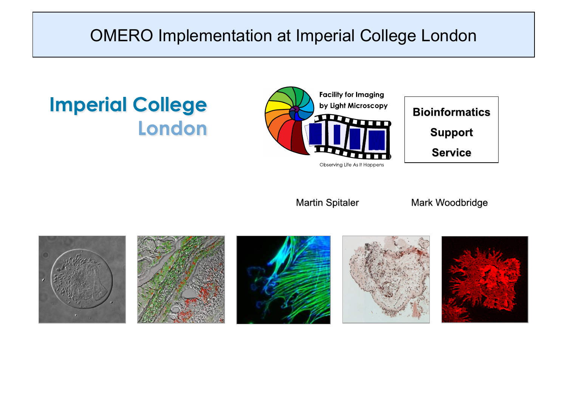### OMERO Implementation at Imperial College London

## **Imperial College** London





**Martin Spitaler** 

Mark Woodbridge

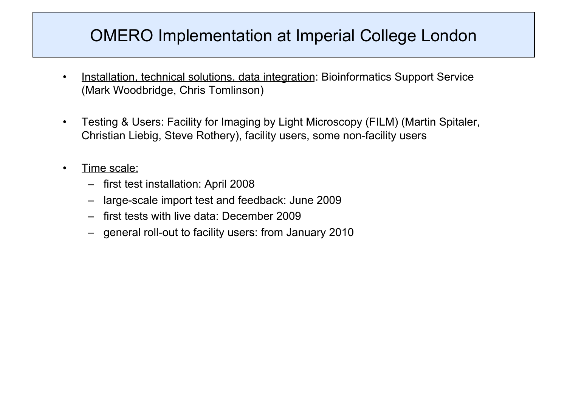## OMERO Implementation at Imperial College London

- Installation, technical solutions, data integration: Bioinformatics Support Service (Mark Woodbridge, Chris Tomlinson)
- Testing & Users: Facility for Imaging by Light Microscopy (FILM) (Martin Spitaler, Christian Liebig, Steve Rothery), facility users, some non-facility users
- Time scale:
	- first test installation: April 2008
	- large-scale import test and feedback: June 2009
	- first tests with live data: December 2009
	- general roll-out to facility users: from January 2010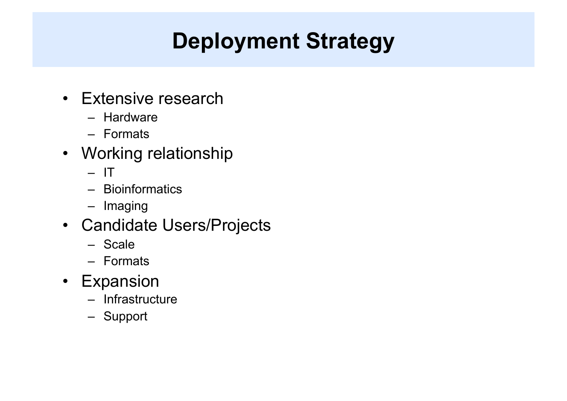# **Deployment Strategy**

- Extensive research
	- Hardware
	- Formats
- Working relationship
	- $-1$
	- Bioinformatics
	- Imaging
- Candidate Users/Projects
	- Scale
	- Formats
- Expansion
	- Infrastructure
	- Support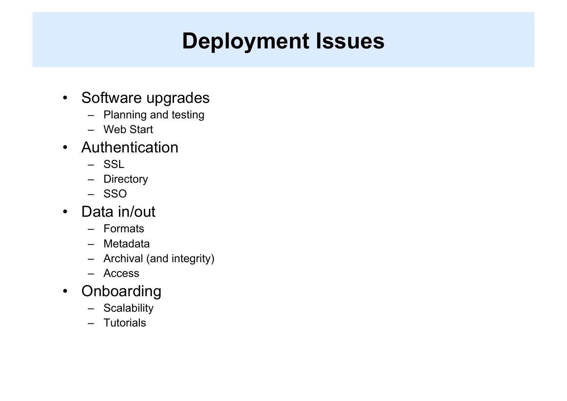## **Deployment Issues**

- Software upgrades
	- Planning and testing
	- Web Start
- Authentication
	- SSL
	- Directory
	- SSO
- Data in/out
	- Formats
	- Metadata
	- Archival (and integrity)
	- Access
- Onboarding
	- Scalability
	- Tutorials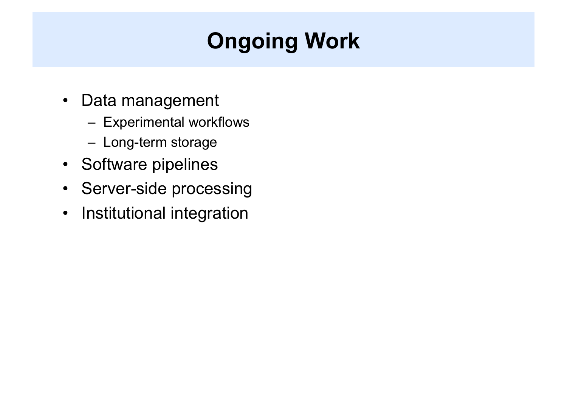# **Ongoing Work**

- Data management
	- Experimental workflows
	- Long-term storage
- Software pipelines
- Server-side processing
- Institutional integration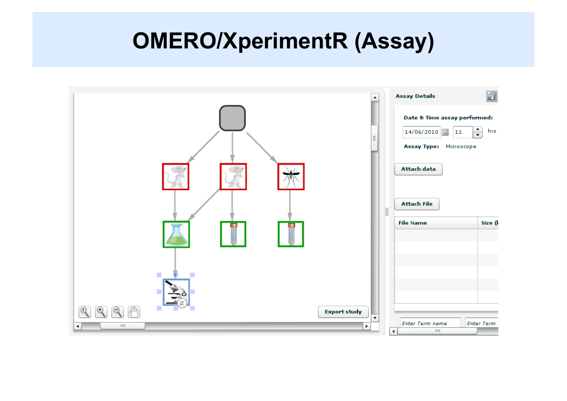## **OMERO/XperimentR (Assay)**

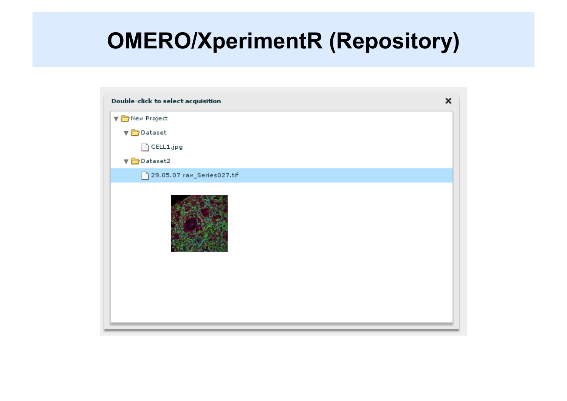## **OMERO/XperimentR (Repository)**

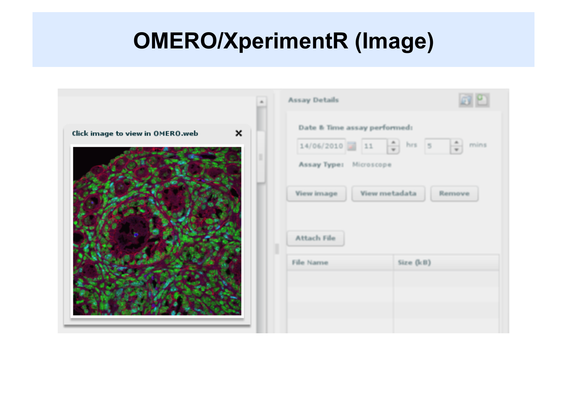## **OMERO/XperimentR (Image)**

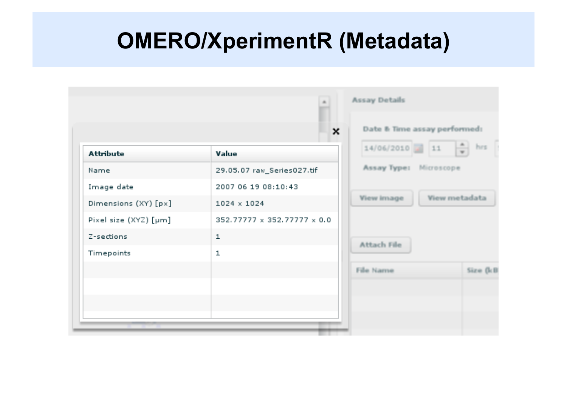## **OMERO/XperimentR (Metadata)**

|                       | ×                           | Date & Time assay performed:            |           |
|-----------------------|-----------------------------|-----------------------------------------|-----------|
| <b>Attribute</b>      | Value                       | $\frac{1}{\sqrt{2}}$<br>$14/06/2010$ 11 | hrs       |
| Name                  | 29.05.07 raw_Series027.tif  | Assay Type:<br>Microscope               |           |
| Image date            | 2007 06 19 08:10:43         |                                         |           |
| Dimensions (XY) [px]  | $1024 \times 1024$          | View metadata<br>View image             |           |
| Pixel size (XYZ) [µm] | 352.77777 x 352.77777 x 0.0 |                                         |           |
| Z-sections            | ${\bf 1}$                   | Attach File                             |           |
| Timepoints            | $\mathbf{1}$                |                                         |           |
|                       |                             | File Name                               | Size (kB) |
|                       |                             |                                         |           |
|                       |                             |                                         |           |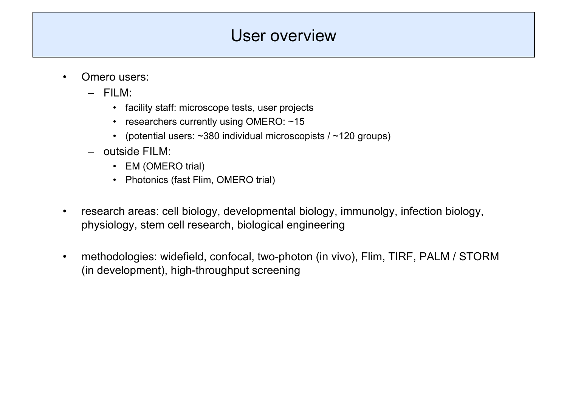## User overview

- Omero users:
	- FILM:
		- facility staff: microscope tests, user projects
		- researchers currently using OMERO: ~15
		- (potential users:  $\sim$ 380 individual microscopists /  $\sim$ 120 groups)
	- outside FILM:
		- EM (OMERO trial)
		- Photonics (fast Flim, OMERO trial)
- research areas: cell biology, developmental biology, immunolgy, infection biology, physiology, stem cell research, biological engineering
- methodologies: widefield, confocal, two-photon (in vivo), Flim, TIRF, PALM / STORM (in development), high-throughput screening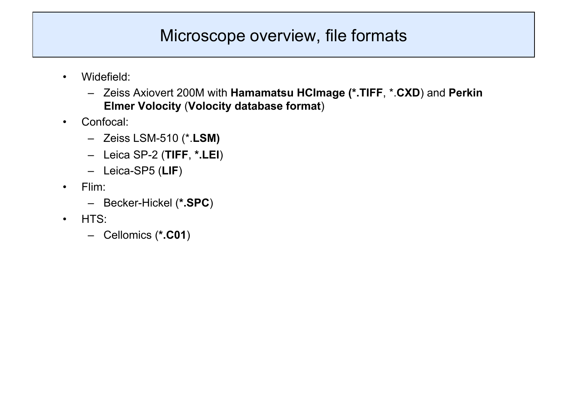## Microscope overview, file formats

- Widefield:
	- Zeiss Axiovert 200M with **Hamamatsu HCImage (\*.TIFF**, \*.**CXD**) and **Perkin Elmer Volocity** (**Volocity database format**)
- Confocal:
	- Zeiss LSM-510 (\*.**LSM)**
	- Leica SP-2 (**TIFF**, **\*.LEI**)
	- Leica-SP5 (**LIF**)
- Flim:
	- Becker-Hickel (**\*.SPC**)
- HTS:
	- Cellomics (**\*.C01**)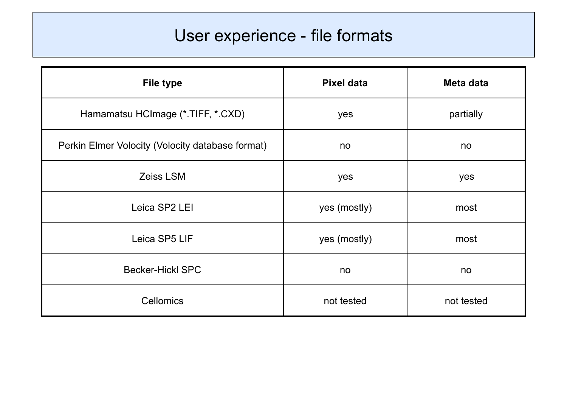## User experience - file formats

| <b>File type</b>                                 | <b>Pixel data</b> | Meta data  |
|--------------------------------------------------|-------------------|------------|
| Hamamatsu HCImage (*.TIFF, *.CXD)                | yes               | partially  |
| Perkin Elmer Volocity (Volocity database format) | no                | no         |
| Zeiss LSM                                        | yes               | yes        |
| Leica SP2 LEI                                    | yes (mostly)      | most       |
| Leica SP5 LIF                                    | yes (mostly)      | most       |
| <b>Becker-Hickl SPC</b>                          | no                | no         |
| <b>Cellomics</b>                                 | not tested        | not tested |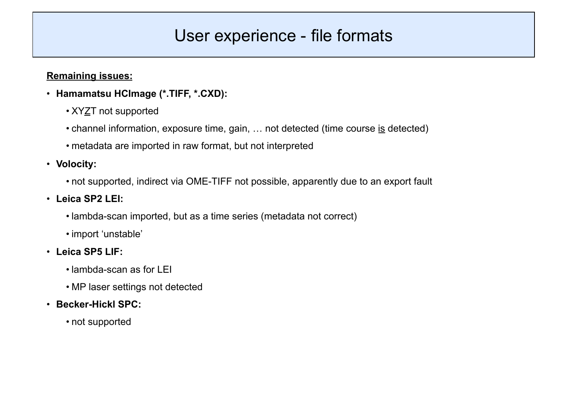### User experience - file formats

#### **Remaining issues:**

- **Hamamatsu HCImage (\*.TIFF, \*.CXD):** 
	- XYZT not supported
	- channel information, exposure time, gain, … not detected (time course is detected)
	- metadata are imported in raw format, but not interpreted

#### • **Volocity:**

• not supported, indirect via OME-TIFF not possible, apparently due to an export fault

#### • **Leica SP2 LEI:**

- lambda-scan imported, but as a time series (metadata not correct)
- import 'unstable'
- **Leica SP5 LIF:** 
	- lambda-scan as for LEI
	- MP laser settings not detected
- **Becker-Hickl SPC:** 
	- not supported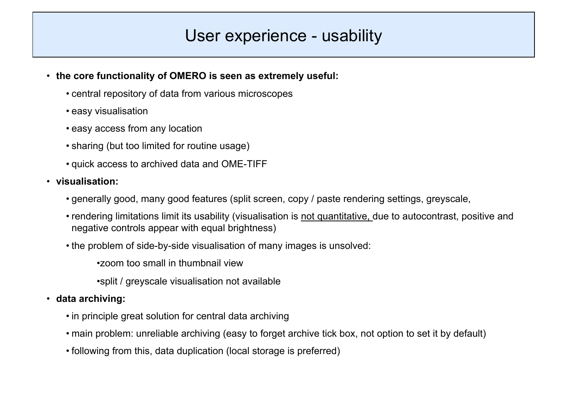### User experience - usability

- **the core functionality of OMERO is seen as extremely useful:** 
	- central repository of data from various microscopes
	- easy visualisation
	- easy access from any location
	- sharing (but too limited for routine usage)
	- quick access to archived data and OME-TIFF
- **visualisation:**
	- generally good, many good features (split screen, copy / paste rendering settings, greyscale,
	- rendering limitations limit its usability (visualisation is not quantitative, due to autocontrast, positive and negative controls appear with equal brightness)
	- the problem of side-by-side visualisation of many images is unsolved:
		- •zoom too small in thumbnail view
		- •split / greyscale visualisation not available
- **data archiving:**
	- in principle great solution for central data archiving
	- main problem: unreliable archiving (easy to forget archive tick box, not option to set it by default)
	- following from this, data duplication (local storage is preferred)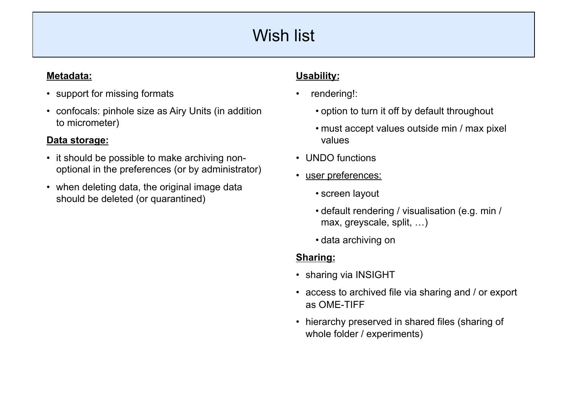## Wish list

#### **Metadata:**

- support for missing formats
- confocals: pinhole size as Airy Units (in addition to micrometer)

#### **Data storage:**

- it should be possible to make archiving nonoptional in the preferences (or by administrator)
- when deleting data, the original image data should be deleted (or quarantined)

#### **Usability:**

- rendering!:
	- option to turn it off by default throughout
	- must accept values outside min / max pixel values
- UNDO functions
- user preferences:
	- screen layout
	- default rendering / visualisation (e.g. min / max, greyscale, split, …)
	- data archiving on

#### **Sharing:**

- sharing via INSIGHT
- access to archived file via sharing and / or export as OME-TIFF
- hierarchy preserved in shared files (sharing of whole folder / experiments)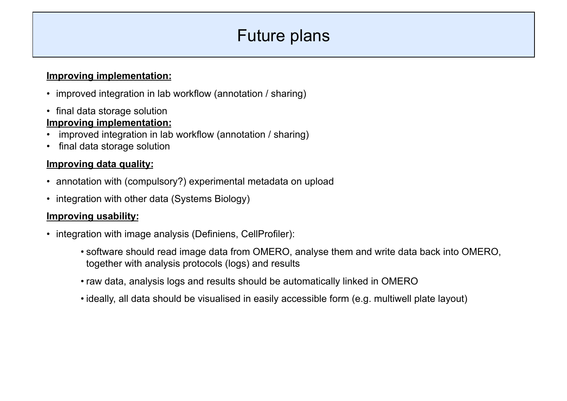## Future plans

#### **Improving implementation:**

- improved integration in lab workflow (annotation / sharing)
- final data storage solution **Improving implementation:**
- improved integration in lab workflow (annotation / sharing)
- final data storage solution

#### **Improving data quality:**

- annotation with (compulsory?) experimental metadata on upload
- integration with other data (Systems Biology)

#### **Improving usability:**

- integration with image analysis (Definiens, CellProfiler):
	- software should read image data from OMERO, analyse them and write data back into OMERO, together with analysis protocols (logs) and results
	- raw data, analysis logs and results should be automatically linked in OMERO
	- ideally, all data should be visualised in easily accessible form (e.g. multiwell plate layout)